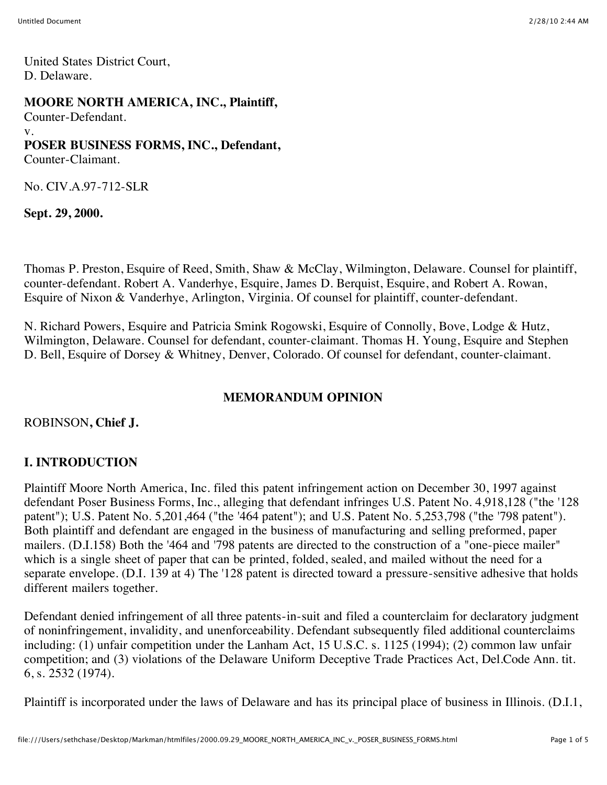United States District Court, D. Delaware.

#### **MOORE NORTH AMERICA, INC., Plaintiff,**

Counter-Defendant.

v.

# **POSER BUSINESS FORMS, INC., Defendant,**

Counter-Claimant.

No. CIV.A.97-712-SLR

**Sept. 29, 2000.**

Thomas P. Preston, Esquire of Reed, Smith, Shaw & McClay, Wilmington, Delaware. Counsel for plaintiff, counter-defendant. Robert A. Vanderhye, Esquire, James D. Berquist, Esquire, and Robert A. Rowan, Esquire of Nixon & Vanderhye, Arlington, Virginia. Of counsel for plaintiff, counter-defendant.

N. Richard Powers, Esquire and Patricia Smink Rogowski, Esquire of Connolly, Bove, Lodge & Hutz, Wilmington, Delaware. Counsel for defendant, counter-claimant. Thomas H. Young, Esquire and Stephen D. Bell, Esquire of Dorsey & Whitney, Denver, Colorado. Of counsel for defendant, counter-claimant.

# **MEMORANDUM OPINION**

ROBINSON**, Chief J.**

## **I. INTRODUCTION**

Plaintiff Moore North America, Inc. filed this patent infringement action on December 30, 1997 against defendant Poser Business Forms, Inc., alleging that defendant infringes U.S. Patent No. 4,918,128 ("the '128 patent"); U.S. Patent No. 5,201,464 ("the '464 patent"); and U.S. Patent No. 5,253,798 ("the '798 patent"). Both plaintiff and defendant are engaged in the business of manufacturing and selling preformed, paper mailers. (D.I.158) Both the '464 and '798 patents are directed to the construction of a "one-piece mailer" which is a single sheet of paper that can be printed, folded, sealed, and mailed without the need for a separate envelope. (D.I. 139 at 4) The '128 patent is directed toward a pressure-sensitive adhesive that holds different mailers together.

Defendant denied infringement of all three patents-in-suit and filed a counterclaim for declaratory judgment of noninfringement, invalidity, and unenforceability. Defendant subsequently filed additional counterclaims including: (1) unfair competition under the Lanham Act, 15 U.S.C. s. 1125 (1994); (2) common law unfair competition; and (3) violations of the Delaware Uniform Deceptive Trade Practices Act, Del.Code Ann. tit. 6, s. 2532 (1974).

Plaintiff is incorporated under the laws of Delaware and has its principal place of business in Illinois. (D.I.1,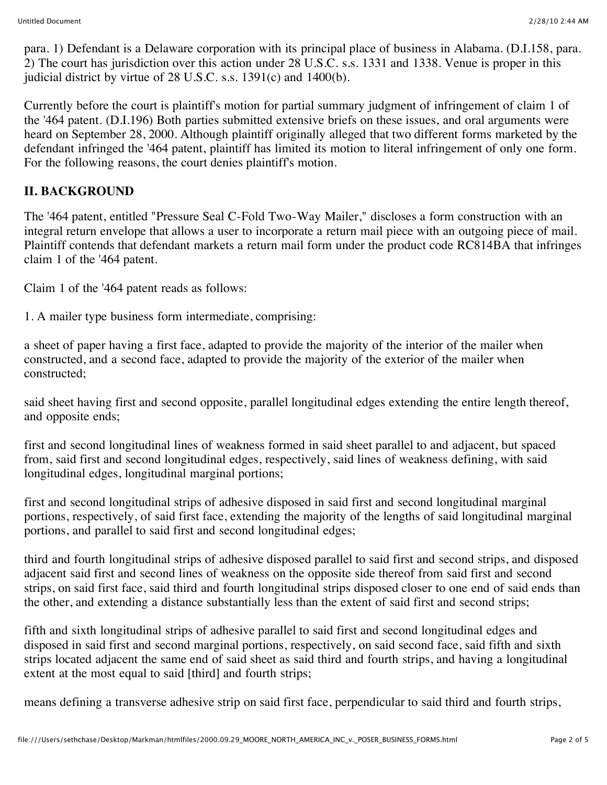para. 1) Defendant is a Delaware corporation with its principal place of business in Alabama. (D.I.158, para. 2) The court has jurisdiction over this action under 28 U.S.C. s.s. 1331 and 1338. Venue is proper in this judicial district by virtue of 28 U.S.C. s.s. 1391(c) and 1400(b).

Currently before the court is plaintiff's motion for partial summary judgment of infringement of claim 1 of the '464 patent. (D.I.196) Both parties submitted extensive briefs on these issues, and oral arguments were heard on September 28, 2000. Although plaintiff originally alleged that two different forms marketed by the defendant infringed the '464 patent, plaintiff has limited its motion to literal infringement of only one form. For the following reasons, the court denies plaintiff's motion.

### **II. BACKGROUND**

The '464 patent, entitled "Pressure Seal C-Fold Two-Way Mailer," discloses a form construction with an integral return envelope that allows a user to incorporate a return mail piece with an outgoing piece of mail. Plaintiff contends that defendant markets a return mail form under the product code RC814BA that infringes claim 1 of the '464 patent.

Claim 1 of the '464 patent reads as follows:

1. A mailer type business form intermediate, comprising:

a sheet of paper having a first face, adapted to provide the majority of the interior of the mailer when constructed, and a second face, adapted to provide the majority of the exterior of the mailer when constructed;

said sheet having first and second opposite, parallel longitudinal edges extending the entire length thereof, and opposite ends;

first and second longitudinal lines of weakness formed in said sheet parallel to and adjacent, but spaced from, said first and second longitudinal edges, respectively, said lines of weakness defining, with said longitudinal edges, longitudinal marginal portions;

first and second longitudinal strips of adhesive disposed in said first and second longitudinal marginal portions, respectively, of said first face, extending the majority of the lengths of said longitudinal marginal portions, and parallel to said first and second longitudinal edges;

third and fourth longitudinal strips of adhesive disposed parallel to said first and second strips, and disposed adjacent said first and second lines of weakness on the opposite side thereof from said first and second strips, on said first face, said third and fourth longitudinal strips disposed closer to one end of said ends than the other, and extending a distance substantially less than the extent of said first and second strips;

fifth and sixth longitudinal strips of adhesive parallel to said first and second longitudinal edges and disposed in said first and second marginal portions, respectively, on said second face, said fifth and sixth strips located adjacent the same end of said sheet as said third and fourth strips, and having a longitudinal extent at the most equal to said [third] and fourth strips;

means defining a transverse adhesive strip on said first face, perpendicular to said third and fourth strips,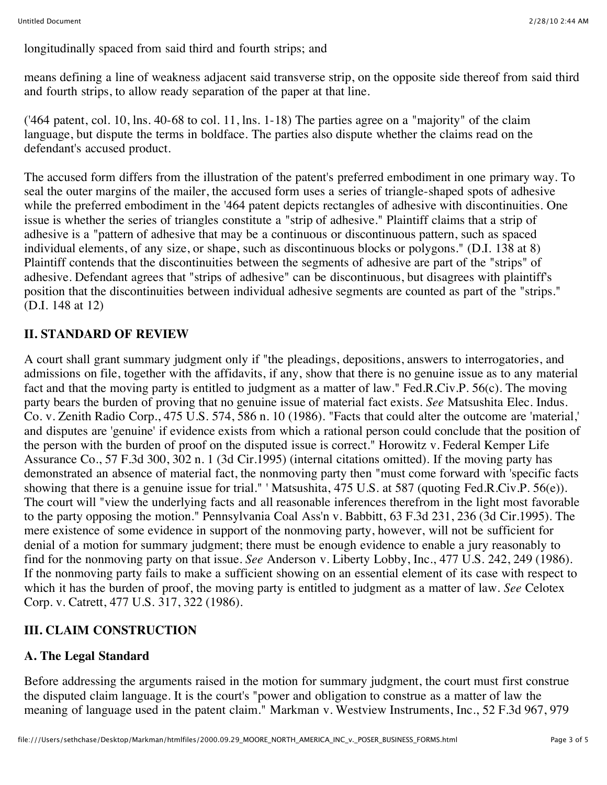longitudinally spaced from said third and fourth strips; and

means defining a line of weakness adjacent said transverse strip, on the opposite side thereof from said third and fourth strips, to allow ready separation of the paper at that line.

('464 patent, col. 10, lns. 40-68 to col. 11, lns. 1-18) The parties agree on a "majority" of the claim language, but dispute the terms in boldface. The parties also dispute whether the claims read on the defendant's accused product.

The accused form differs from the illustration of the patent's preferred embodiment in one primary way. To seal the outer margins of the mailer, the accused form uses a series of triangle-shaped spots of adhesive while the preferred embodiment in the '464 patent depicts rectangles of adhesive with discontinuities. One issue is whether the series of triangles constitute a "strip of adhesive." Plaintiff claims that a strip of adhesive is a "pattern of adhesive that may be a continuous or discontinuous pattern, such as spaced individual elements, of any size, or shape, such as discontinuous blocks or polygons." (D.I. 138 at 8) Plaintiff contends that the discontinuities between the segments of adhesive are part of the "strips" of adhesive. Defendant agrees that "strips of adhesive" can be discontinuous, but disagrees with plaintiff's position that the discontinuities between individual adhesive segments are counted as part of the "strips." (D.I. 148 at 12)

#### **II. STANDARD OF REVIEW**

A court shall grant summary judgment only if "the pleadings, depositions, answers to interrogatories, and admissions on file, together with the affidavits, if any, show that there is no genuine issue as to any material fact and that the moving party is entitled to judgment as a matter of law." Fed.R.Civ.P. 56(c). The moving party bears the burden of proving that no genuine issue of material fact exists. *See* Matsushita Elec. Indus. Co. v. Zenith Radio Corp., 475 U.S. 574, 586 n. 10 (1986). "Facts that could alter the outcome are 'material,' and disputes are 'genuine' if evidence exists from which a rational person could conclude that the position of the person with the burden of proof on the disputed issue is correct." Horowitz v. Federal Kemper Life Assurance Co., 57 F.3d 300, 302 n. 1 (3d Cir.1995) (internal citations omitted). If the moving party has demonstrated an absence of material fact, the nonmoving party then "must come forward with 'specific facts showing that there is a genuine issue for trial." ' Matsushita, 475 U.S. at 587 (quoting Fed.R.Civ.P. 56(e)). The court will "view the underlying facts and all reasonable inferences therefrom in the light most favorable to the party opposing the motion." Pennsylvania Coal Ass'n v. Babbitt, 63 F.3d 231, 236 (3d Cir.1995). The mere existence of some evidence in support of the nonmoving party, however, will not be sufficient for denial of a motion for summary judgment; there must be enough evidence to enable a jury reasonably to find for the nonmoving party on that issue. *See* Anderson v. Liberty Lobby, Inc., 477 U.S. 242, 249 (1986). If the nonmoving party fails to make a sufficient showing on an essential element of its case with respect to which it has the burden of proof, the moving party is entitled to judgment as a matter of law. *See* Celotex Corp. v. Catrett, 477 U.S. 317, 322 (1986).

#### **III. CLAIM CONSTRUCTION**

#### **A. The Legal Standard**

Before addressing the arguments raised in the motion for summary judgment, the court must first construe the disputed claim language. It is the court's "power and obligation to construe as a matter of law the meaning of language used in the patent claim." Markman v. Westview Instruments, Inc., 52 F.3d 967, 979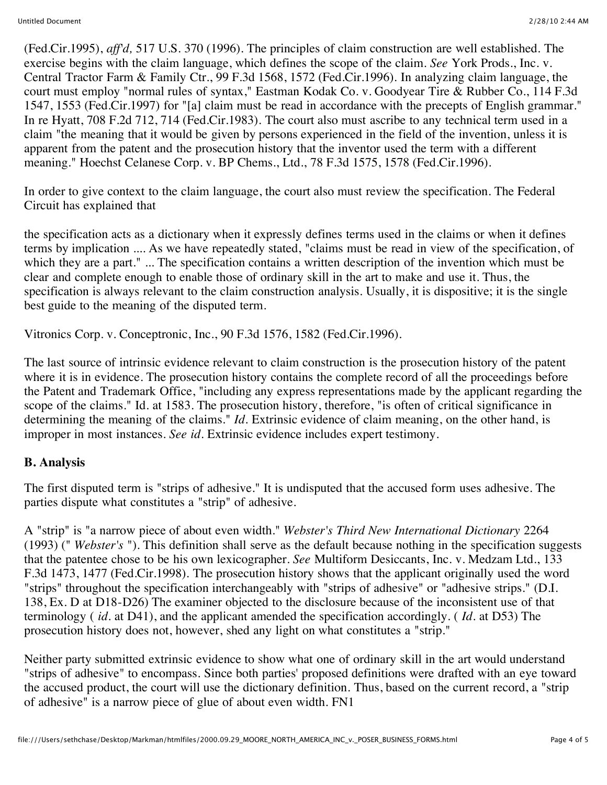(Fed.Cir.1995), *aff'd,* 517 U.S. 370 (1996). The principles of claim construction are well established. The exercise begins with the claim language, which defines the scope of the claim. *See* York Prods., Inc. v. Central Tractor Farm & Family Ctr., 99 F.3d 1568, 1572 (Fed.Cir.1996). In analyzing claim language, the court must employ "normal rules of syntax," Eastman Kodak Co. v. Goodyear Tire & Rubber Co., 114 F.3d 1547, 1553 (Fed.Cir.1997) for "[a] claim must be read in accordance with the precepts of English grammar." In re Hyatt, 708 F.2d 712, 714 (Fed.Cir.1983). The court also must ascribe to any technical term used in a claim "the meaning that it would be given by persons experienced in the field of the invention, unless it is apparent from the patent and the prosecution history that the inventor used the term with a different meaning." Hoechst Celanese Corp. v. BP Chems., Ltd., 78 F.3d 1575, 1578 (Fed.Cir.1996).

In order to give context to the claim language, the court also must review the specification. The Federal Circuit has explained that

the specification acts as a dictionary when it expressly defines terms used in the claims or when it defines terms by implication .... As we have repeatedly stated, "claims must be read in view of the specification, of which they are a part." ... The specification contains a written description of the invention which must be clear and complete enough to enable those of ordinary skill in the art to make and use it. Thus, the specification is always relevant to the claim construction analysis. Usually, it is dispositive; it is the single best guide to the meaning of the disputed term.

Vitronics Corp. v. Conceptronic, Inc., 90 F.3d 1576, 1582 (Fed.Cir.1996).

The last source of intrinsic evidence relevant to claim construction is the prosecution history of the patent where it is in evidence. The prosecution history contains the complete record of all the proceedings before the Patent and Trademark Office, "including any express representations made by the applicant regarding the scope of the claims." Id. at 1583. The prosecution history, therefore, "is often of critical significance in determining the meaning of the claims." *Id.* Extrinsic evidence of claim meaning, on the other hand, is improper in most instances. *See id.* Extrinsic evidence includes expert testimony.

#### **B. Analysis**

The first disputed term is "strips of adhesive." It is undisputed that the accused form uses adhesive. The parties dispute what constitutes a "strip" of adhesive.

A "strip" is "a narrow piece of about even width." *Webster's Third New International Dictionary* 2264 (1993) (" *Webster's* "). This definition shall serve as the default because nothing in the specification suggests that the patentee chose to be his own lexicographer. *See* Multiform Desiccants, Inc. v. Medzam Ltd., 133 F.3d 1473, 1477 (Fed.Cir.1998). The prosecution history shows that the applicant originally used the word "strips" throughout the specification interchangeably with "strips of adhesive" or "adhesive strips." (D.I. 138, Ex. D at D18-D26) The examiner objected to the disclosure because of the inconsistent use of that terminology ( *id.* at D41), and the applicant amended the specification accordingly. ( *Id.* at D53) The prosecution history does not, however, shed any light on what constitutes a "strip."

Neither party submitted extrinsic evidence to show what one of ordinary skill in the art would understand "strips of adhesive" to encompass. Since both parties' proposed definitions were drafted with an eye toward the accused product, the court will use the dictionary definition. Thus, based on the current record, a "strip of adhesive" is a narrow piece of glue of about even width. FN1